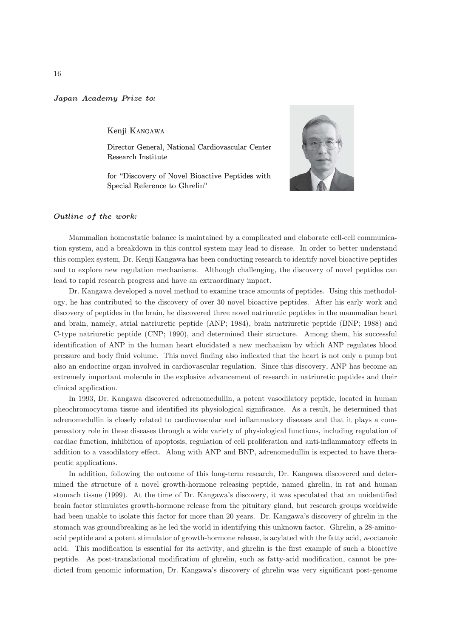## Japan Academy Prize to*:*

Kenji KANGAWA

Director General, National Cardiovascular Center Research Institute

for "Discovery of Novel Bioactive Peptides with Special Reference to Ghrelin"



## Outline of the work*:*

Mammalian homeostatic balance is maintained by a complicated and elaborate cell-cell communication system, and a breakdown in this control system may lead to disease. In order to better understand this complex system, Dr. Kenji Kangawa has been conducting research to identify novel bioactive peptides and to explore new regulation mechanisms. Although challenging, the discovery of novel peptides can lead to rapid research progress and have an extraordinary impact.

Dr. Kangawa developed a novel method to examine trace amounts of peptides. Using this methodology, he has contributed to the discovery of over 30 novel bioactive peptides. After his early work and discovery of peptides in the brain, he discovered three novel natriuretic peptides in the mammalian heart and brain, namely, atrial natriuretic peptide (ANP; 1984), brain natriuretic peptide (BNP; 1988) and C-type natriuretic peptide (CNP; 1990), and determined their structure. Among them, his successful identification of ANP in the human heart elucidated a new mechanism by which ANP regulates blood pressure and body fluid volume. This novel finding also indicated that the heart is not only a pump but also an endocrine organ involved in cardiovascular regulation. Since this discovery, ANP has become an extremely important molecule in the explosive advancement of research in natriuretic peptides and their clinical application.

In 1993, Dr. Kangawa discovered adrenomedullin, a potent vasodilatory peptide, located in human pheochromocytoma tissue and identified its physiological significance. As a result, he determined that adrenomedullin is closely related to cardiovascular and inflammatory diseases and that it plays a compensatory role in these diseases through a wide variety of physiological functions, including regulation of cardiac function, inhibition of apoptosis, regulation of cell proliferation and anti-inflammatory effects in addition to a vasodilatory effect. Along with ANP and BNP, adrenomedullin is expected to have therapeutic applications.

In addition, following the outcome of this long-term research, Dr. Kangawa discovered and determined the structure of a novel growth-hormone releasing peptide, named ghrelin, in rat and human stomach tissue (1999). At the time of Dr. Kangawa's discovery, it was speculated that an unidentified brain factor stimulates growth-hormone release from the pituitary gland, but research groups worldwide had been unable to isolate this factor for more than 20 years. Dr. Kangawa's discovery of ghrelin in the stomach was groundbreaking as he led the world in identifying this unknown factor. Ghrelin, a 28-aminoacid peptide and a potent stimulator of growth-hormone release, is acylated with the fatty acid, n-octanoic acid. This modification is essential for its activity, and ghrelin is the first example of such a bioactive peptide. As post-translational modification of ghrelin, such as fatty-acid modification, cannot be predicted from genomic information, Dr. Kangawa's discovery of ghrelin was very significant post-genome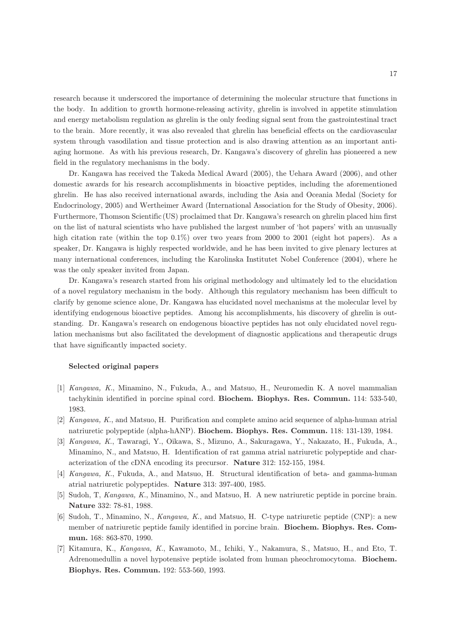research because it underscored the importance of determining the molecular structure that functions in the body. In addition to growth hormone-releasing activity, ghrelin is involved in appetite stimulation and energy metabolism regulation as ghrelin is the only feeding signal sent from the gastrointestinal tract to the brain. More recently, it was also revealed that ghrelin has beneficial effects on the cardiovascular system through vasodilation and tissue protection and is also drawing attention as an important antiaging hormone. As with his previous research, Dr. Kangawa's discovery of ghrelin has pioneered a new field in the regulatory mechanisms in the body.

Dr. Kangawa has received the Takeda Medical Award (2005), the Uehara Award (2006), and other domestic awards for his research accomplishments in bioactive peptides, including the aforementioned ghrelin. He has also received international awards, including the Asia and Oceania Medal (Society for Endocrinology, 2005) and Wertheimer Award (International Association for the Study of Obesity, 2006). Furthermore, Thomson Scientific (US) proclaimed that Dr. Kangawa's research on ghrelin placed him first on the list of natural scientists who have published the largest number of 'hot papers' with an unusually high citation rate (within the top 0.1%) over two years from 2000 to 2001 (eight hot papers). As a speaker, Dr. Kangawa is highly respected worldwide, and he has been invited to give plenary lectures at many international conferences, including the Karolinska Institutet Nobel Conference (2004), where he was the only speaker invited from Japan.

Dr. Kangawa's research started from his original methodology and ultimately led to the elucidation of a novel regulatory mechanism in the body. Although this regulatory mechanism has been difficult to clarify by genome science alone, Dr. Kangawa has elucidated novel mechanisms at the molecular level by identifying endogenous bioactive peptides. Among his accomplishments, his discovery of ghrelin is outstanding. Dr. Kangawa's research on endogenous bioactive peptides has not only elucidated novel regulation mechanisms but also facilitated the development of diagnostic applications and therapeutic drugs that have significantly impacted society.

## Selected original papers

- [1] Kangawa, K., Minamino, N., Fukuda, A., and Matsuo, H., Neuromedin K. A novel mammalian tachykinin identified in porcine spinal cord. Biochem. Biophys. Res. Commun. 114: 533-540, 1983.
- [2] Kangawa, K., and Matsuo, H. Purification and complete amino acid sequence of alpha-human atrial natriuretic polypeptide (alpha-hANP). Biochem. Biophys. Res. Commun. 118: 131-139, 1984.
- [3] Kangawa, K., Tawaragi, Y., Oikawa, S., Mizuno, A., Sakuragawa, Y., Nakazato, H., Fukuda, A., Minamino, N., and Matsuo, H. Identification of rat gamma atrial natriuretic polypeptide and characterization of the cDNA encoding its precursor. Nature 312: 152-155, 1984.
- [4] Kangawa, K., Fukuda, A., and Matsuo, H. Structural identification of beta- and gamma-human atrial natriuretic polypeptides. Nature 313: 397-400, 1985.
- [5] Sudoh, T, Kangawa, K., Minamino, N., and Matsuo, H. A new natriuretic peptide in porcine brain. Nature 332: 78-81, 1988.
- [6] Sudoh, T., Minamino, N., Kangawa, K., and Matsuo, H. C-type natriuretic peptide (CNP): a new member of natriuretic peptide family identified in porcine brain. Biochem. Biophys. Res. Commun. 168: 863-870, 1990.
- [7] Kitamura, K., Kangawa, K., Kawamoto, M., Ichiki, Y., Nakamura, S., Matsuo, H., and Eto, T. Adrenomedullin a novel hypotensive peptide isolated from human pheochromocytoma. Biochem. Biophys. Res. Commun. 192: 553-560, 1993.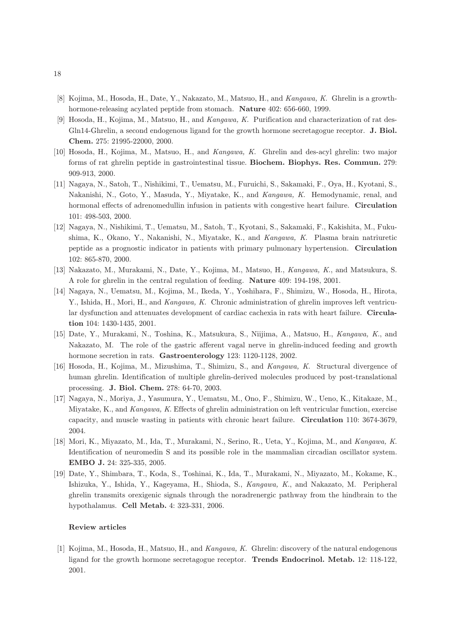- [8] Kojima, M., Hosoda, H., Date, Y., Nakazato, M., Matsuo, H., and Kangawa, K. Ghrelin is a growthhormone-releasing acylated peptide from stomach. Nature 402: 656-660, 1999.
- [9] Hosoda, H., Kojima, M., Matsuo, H., and Kangawa, K. Purification and characterization of rat des-Gln14-Ghrelin, a second endogenous ligand for the growth hormone secretagogue receptor. **J. Biol.** Chem. 275: 21995-22000, 2000.
- [10] Hosoda, H., Kojima, M., Matsuo, H., and Kangawa, K. Ghrelin and des-acyl ghrelin: two major forms of rat ghrelin peptide in gastrointestinal tissue. Biochem. Biophys. Res. Commun. 279: 909-913, 2000.
- [11] Nagaya, N., Satoh, T., Nishikimi, T., Uematsu, M., Furuichi, S., Sakamaki, F., Oya, H., Kyotani, S., Nakanishi, N., Goto, Y., Masuda, Y., Miyatake, K., and Kangawa, K. Hemodynamic, renal, and hormonal effects of adrenomedullin infusion in patients with congestive heart failure. Circulation 101: 498-503, 2000.
- [12] Nagaya, N., Nishikimi, T., Uematsu, M., Satoh, T., Kyotani, S., Sakamaki, F., Kakishita, M., Fukushima, K., Okano, Y., Nakanishi, N., Miyatake, K., and Kangawa, K. Plasma brain natriuretic peptide as a prognostic indicator in patients with primary pulmonary hypertension. Circulation 102: 865-870, 2000.
- [13] Nakazato, M., Murakami, N., Date, Y., Kojima, M., Matsuo, H., Kangawa, K., and Matsukura, S. A role for ghrelin in the central regulation of feeding. Nature 409: 194-198, 2001.
- [14] Nagaya, N., Uematsu, M., Kojima, M., Ikeda, Y., Yoshihara, F., Shimizu, W., Hosoda, H., Hirota, Y., Ishida, H., Mori, H., and Kangawa, K. Chronic administration of ghrelin improves left ventricular dysfunction and attenuates development of cardiac cachexia in rats with heart failure. Circulation 104: 1430-1435, 2001.
- [15] Date, Y., Murakami, N., Toshina, K., Matsukura, S., Niijima, A., Matsuo, H., Kangawa, K., and Nakazato, M. The role of the gastric afferent vagal nerve in ghrelin-induced feeding and growth hormone secretion in rats. Gastroenterology 123: 1120-1128, 2002.
- [16] Hosoda, H., Kojima, M., Mizushima, T., Shimizu, S., and Kangawa, K. Structural divergence of human ghrelin. Identification of multiple ghrelin-derived molecules produced by post-translational processing. J. Biol. Chem. 278: 64-70, 2003.
- [17] Nagaya, N., Moriya, J., Yasumura, Y., Uematsu, M., Ono, F., Shimizu, W., Ueno, K., Kitakaze, M., Miyatake, K., and Kangawa, K. Effects of ghrelin administration on left ventricular function, exercise capacity, and muscle wasting in patients with chronic heart failure. Circulation 110: 3674-3679, 2004.
- [18] Mori, K., Miyazato, M., Ida, T., Murakami, N., Serino, R., Ueta, Y., Kojima, M., and Kangawa, K. Identification of neuromedin S and its possible role in the mammalian circadian oscillator system. EMBO J. 24: 325-335, 2005.
- [19] Date, Y., Shimbara, T., Koda, S., Toshinai, K., Ida, T., Murakami, N., Miyazato, M., Kokame, K., Ishizuka, Y., Ishida, Y., Kageyama, H., Shioda, S., Kangawa, K., and Nakazato, M. Peripheral ghrelin transmits orexigenic signals through the noradrenergic pathway from the hindbrain to the hypothalamus. Cell Metab. 4: 323-331, 2006.

## Review articles

 [1] Kojima, M., Hosoda, H., Matsuo, H., and Kangawa, K. Ghrelin: discovery of the natural endogenous ligand for the growth hormone secretagogue receptor. Trends Endocrinol. Metab. 12: 118-122, 2001.